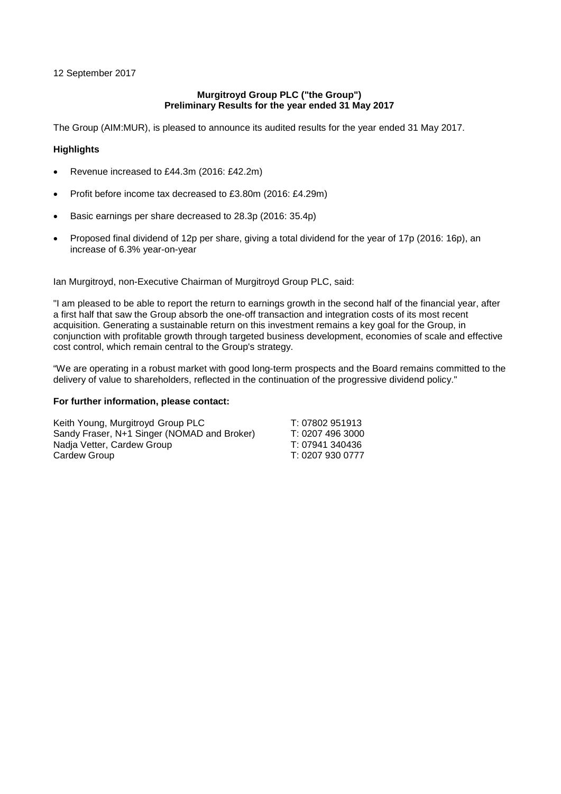12 September 2017

#### **Murgitroyd Group PLC ("the Group") Preliminary Results for the year ended 31 May 2017**

The Group (AIM:MUR), is pleased to announce its audited results for the year ended 31 May 2017.

## **Highlights**

- Revenue increased to £44.3m (2016: £42.2m)
- Profit before income tax decreased to £3.80m (2016: £4.29m)
- Basic earnings per share decreased to 28.3p (2016: 35.4p)
- Proposed final dividend of 12p per share, giving a total dividend for the year of 17p (2016: 16p), an increase of 6.3% year-on-year

Ian Murgitroyd, non-Executive Chairman of Murgitroyd Group PLC, said:

"I am pleased to be able to report the return to earnings growth in the second half of the financial year, after a first half that saw the Group absorb the one-off transaction and integration costs of its most recent acquisition. Generating a sustainable return on this investment remains a key goal for the Group, in conjunction with profitable growth through targeted business development, economies of scale and effective cost control, which remain central to the Group's strategy.

"We are operating in a robust market with good long-term prospects and the Board remains committed to the delivery of value to shareholders, reflected in the continuation of the progressive dividend policy."

### **For further information, please contact:**

Keith Young, Murgitroyd Group PLC<br>Sandy Fraser, N+1 Singer (NOMAD and Broker) T: 0207 496 3000 Sandy Fraser, N+1 Singer (NOMAD and Broker) Nadja Vetter, Cardew Group T: 07941 340436 Cardew Group **T: 0207 930 0777**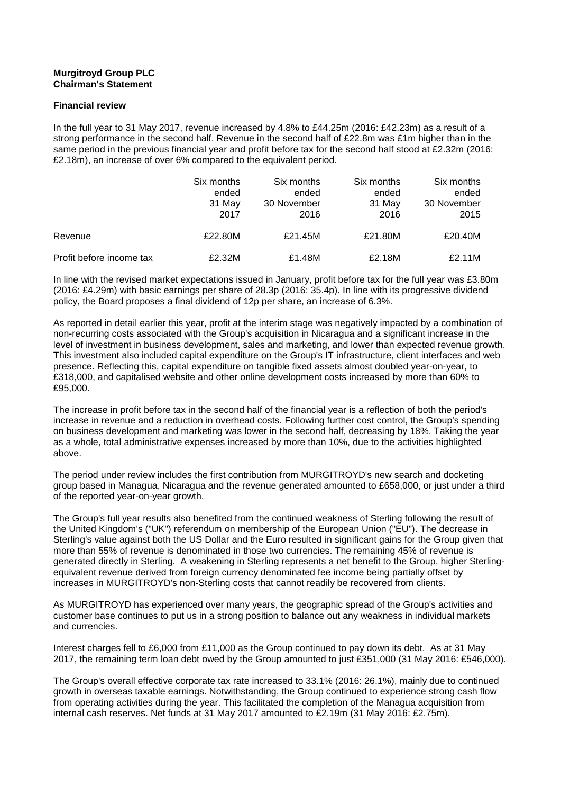## **Murgitroyd Group PLC Chairman's Statement**

#### **Financial review**

In the full year to 31 May 2017, revenue increased by 4.8% to £44.25m (2016: £42.23m) as a result of a strong performance in the second half. Revenue in the second half of £22.8m was £1m higher than in the same period in the previous financial year and profit before tax for the second half stood at £2.32m (2016: £2.18m), an increase of over 6% compared to the equivalent period.

|                          | Six months<br>ended<br>31 May<br>2017 | Six months<br>ended<br>30 November<br>2016 | Six months<br>ended<br>31 May<br>2016 | Six months<br>ended<br>30 November<br>2015 |
|--------------------------|---------------------------------------|--------------------------------------------|---------------------------------------|--------------------------------------------|
| Revenue                  | £22,80M                               | £21.45M                                    | £21.80M                               | £20.40M                                    |
| Profit before income tax | £2.32M                                | £1.48M                                     | £2.18M                                | £2.11M                                     |

In line with the revised market expectations issued in January, profit before tax for the full year was £3.80m (2016: £4.29m) with basic earnings per share of 28.3p (2016: 35.4p). In line with its progressive dividend policy, the Board proposes a final dividend of 12p per share, an increase of 6.3%.

As reported in detail earlier this year, profit at the interim stage was negatively impacted by a combination of non-recurring costs associated with the Group's acquisition in Nicaragua and a significant increase in the level of investment in business development, sales and marketing, and lower than expected revenue growth. This investment also included capital expenditure on the Group's IT infrastructure, client interfaces and web presence. Reflecting this, capital expenditure on tangible fixed assets almost doubled year-on-year, to £318,000, and capitalised website and other online development costs increased by more than 60% to £95,000.

The increase in profit before tax in the second half of the financial year is a reflection of both the period's increase in revenue and a reduction in overhead costs. Following further cost control, the Group's spending on business development and marketing was lower in the second half, decreasing by 18%. Taking the year as a whole, total administrative expenses increased by more than 10%, due to the activities highlighted above.

The period under review includes the first contribution from MURGITROYD's new search and docketing group based in Managua, Nicaragua and the revenue generated amounted to £658,000, or just under a third of the reported year-on-year growth.

The Group's full year results also benefited from the continued weakness of Sterling following the result of the United Kingdom's ("UK") referendum on membership of the European Union ("EU"). The decrease in Sterling's value against both the US Dollar and the Euro resulted in significant gains for the Group given that more than 55% of revenue is denominated in those two currencies. The remaining 45% of revenue is generated directly in Sterling. A weakening in Sterling represents a net benefit to the Group, higher Sterlingequivalent revenue derived from foreign currency denominated fee income being partially offset by increases in MURGITROYD's non-Sterling costs that cannot readily be recovered from clients.

As MURGITROYD has experienced over many years, the geographic spread of the Group's activities and customer base continues to put us in a strong position to balance out any weakness in individual markets and currencies.

Interest charges fell to £6,000 from £11,000 as the Group continued to pay down its debt. As at 31 May 2017, the remaining term loan debt owed by the Group amounted to just £351,000 (31 May 2016: £546,000).

The Group's overall effective corporate tax rate increased to 33.1% (2016: 26.1%), mainly due to continued growth in overseas taxable earnings. Notwithstanding, the Group continued to experience strong cash flow from operating activities during the year. This facilitated the completion of the Managua acquisition from internal cash reserves. Net funds at 31 May 2017 amounted to £2.19m (31 May 2016: £2.75m).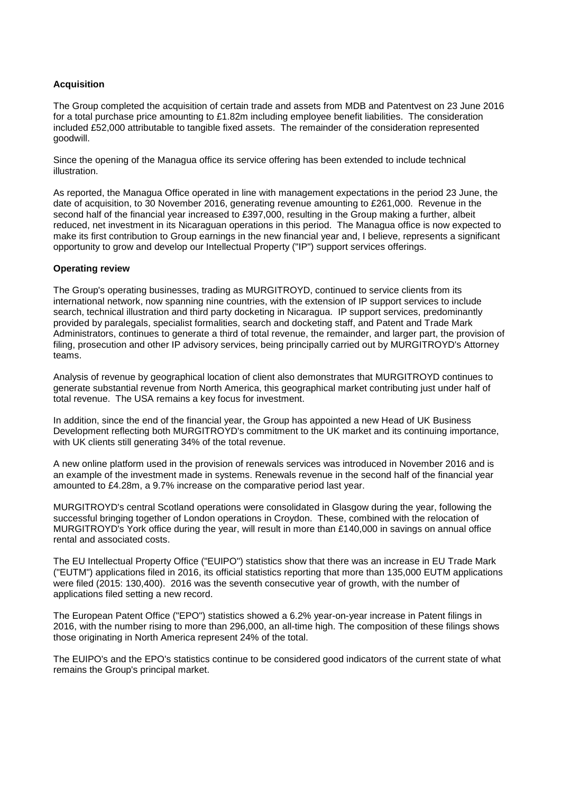## **Acquisition**

The Group completed the acquisition of certain trade and assets from MDB and Patentvest on 23 June 2016 for a total purchase price amounting to £1.82m including employee benefit liabilities. The consideration included £52,000 attributable to tangible fixed assets. The remainder of the consideration represented goodwill.

Since the opening of the Managua office its service offering has been extended to include technical illustration.

As reported, the Managua Office operated in line with management expectations in the period 23 June, the date of acquisition, to 30 November 2016, generating revenue amounting to £261,000. Revenue in the second half of the financial year increased to £397,000, resulting in the Group making a further, albeit reduced, net investment in its Nicaraguan operations in this period. The Managua office is now expected to make its first contribution to Group earnings in the new financial year and, I believe, represents a significant opportunity to grow and develop our Intellectual Property ("IP") support services offerings.

#### **Operating review**

The Group's operating businesses, trading as MURGITROYD, continued to service clients from its international network, now spanning nine countries, with the extension of IP support services to include search, technical illustration and third party docketing in Nicaragua. IP support services, predominantly provided by paralegals, specialist formalities, search and docketing staff, and Patent and Trade Mark Administrators, continues to generate a third of total revenue, the remainder, and larger part, the provision of filing, prosecution and other IP advisory services, being principally carried out by MURGITROYD's Attorney teams.

Analysis of revenue by geographical location of client also demonstrates that MURGITROYD continues to generate substantial revenue from North America, this geographical market contributing just under half of total revenue. The USA remains a key focus for investment.

In addition, since the end of the financial year, the Group has appointed a new Head of UK Business Development reflecting both MURGITROYD's commitment to the UK market and its continuing importance, with UK clients still generating 34% of the total revenue.

A new online platform used in the provision of renewals services was introduced in November 2016 and is an example of the investment made in systems. Renewals revenue in the second half of the financial year amounted to £4.28m, a 9.7% increase on the comparative period last year.

MURGITROYD's central Scotland operations were consolidated in Glasgow during the year, following the successful bringing together of London operations in Croydon. These, combined with the relocation of MURGITROYD's York office during the year, will result in more than £140,000 in savings on annual office rental and associated costs.

The EU Intellectual Property Office ("EUIPO") statistics show that there was an increase in EU Trade Mark ("EUTM") applications filed in 2016, its official statistics reporting that more than 135,000 EUTM applications were filed (2015: 130,400). 2016 was the seventh consecutive year of growth, with the number of applications filed setting a new record.

The European Patent Office ("EPO") statistics showed a 6.2% year-on-year increase in Patent filings in 2016, with the number rising to more than 296,000, an all-time high. The composition of these filings shows those originating in North America represent 24% of the total.

The EUIPO's and the EPO's statistics continue to be considered good indicators of the current state of what remains the Group's principal market.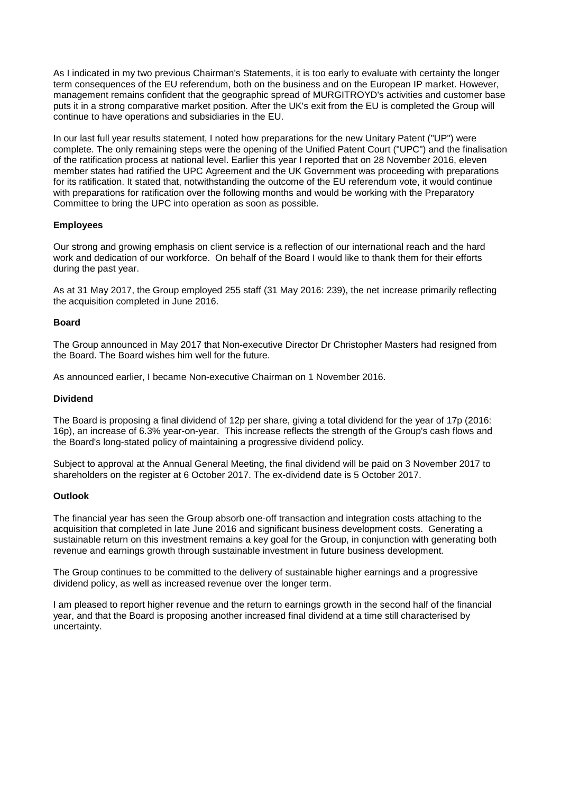As I indicated in my two previous Chairman's Statements, it is too early to evaluate with certainty the longer term consequences of the EU referendum, both on the business and on the European IP market. However, management remains confident that the geographic spread of MURGITROYD's activities and customer base puts it in a strong comparative market position. After the UK's exit from the EU is completed the Group will continue to have operations and subsidiaries in the EU.

In our last full year results statement, I noted how preparations for the new Unitary Patent ("UP") were complete. The only remaining steps were the opening of the Unified Patent Court ("UPC") and the finalisation of the ratification process at national level. Earlier this year I reported that on 28 November 2016, eleven member states had ratified the UPC Agreement and the UK Government was proceeding with preparations for its ratification. It stated that, notwithstanding the outcome of the EU referendum vote, it would continue with preparations for ratification over the following months and would be working with the Preparatory Committee to bring the UPC into operation as soon as possible.

#### **Employees**

Our strong and growing emphasis on client service is a reflection of our international reach and the hard work and dedication of our workforce. On behalf of the Board I would like to thank them for their efforts during the past year.

As at 31 May 2017, the Group employed 255 staff (31 May 2016: 239), the net increase primarily reflecting the acquisition completed in June 2016.

#### **Board**

The Group announced in May 2017 that Non-executive Director Dr Christopher Masters had resigned from the Board. The Board wishes him well for the future.

As announced earlier, I became Non-executive Chairman on 1 November 2016.

#### **Dividend**

The Board is proposing a final dividend of 12p per share, giving a total dividend for the year of 17p (2016: 16p), an increase of 6.3% year-on-year. This increase reflects the strength of the Group's cash flows and the Board's long-stated policy of maintaining a progressive dividend policy.

Subject to approval at the Annual General Meeting, the final dividend will be paid on 3 November 2017 to shareholders on the register at 6 October 2017. The ex-dividend date is 5 October 2017.

#### **Outlook**

The financial year has seen the Group absorb one-off transaction and integration costs attaching to the acquisition that completed in late June 2016 and significant business development costs. Generating a sustainable return on this investment remains a key goal for the Group, in conjunction with generating both revenue and earnings growth through sustainable investment in future business development.

The Group continues to be committed to the delivery of sustainable higher earnings and a progressive dividend policy, as well as increased revenue over the longer term.

I am pleased to report higher revenue and the return to earnings growth in the second half of the financial year, and that the Board is proposing another increased final dividend at a time still characterised by uncertainty.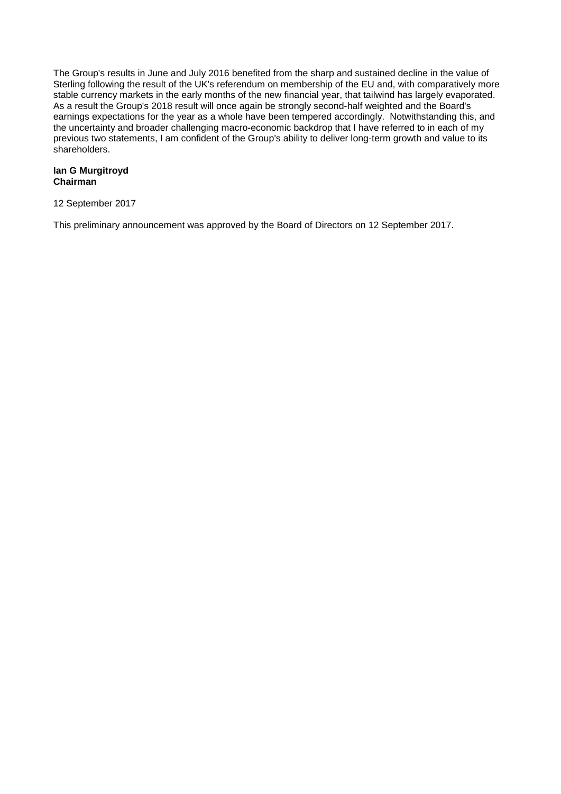The Group's results in June and July 2016 benefited from the sharp and sustained decline in the value of Sterling following the result of the UK's referendum on membership of the EU and, with comparatively more stable currency markets in the early months of the new financial year, that tailwind has largely evaporated. As a result the Group's 2018 result will once again be strongly second-half weighted and the Board's earnings expectations for the year as a whole have been tempered accordingly. Notwithstanding this, and the uncertainty and broader challenging macro-economic backdrop that I have referred to in each of my previous two statements, I am confident of the Group's ability to deliver long-term growth and value to its shareholders.

#### **Ian G Murgitroyd Chairman**

12 September 2017

This preliminary announcement was approved by the Board of Directors on 12 September 2017.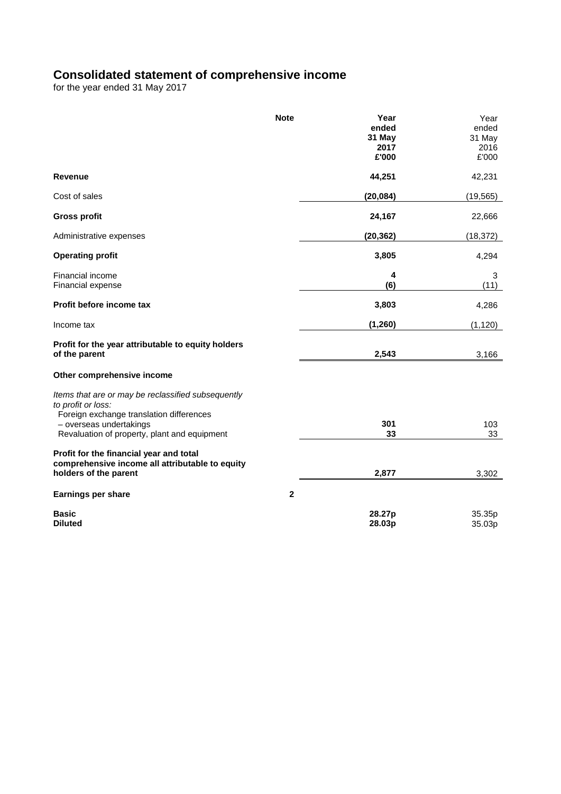## **Consolidated statement of comprehensive income**

for the year ended 31 May 2017

|                                                                                                                     | <b>Note</b>  | Year<br>ended<br>31 May | Year<br>ended<br>31 May |
|---------------------------------------------------------------------------------------------------------------------|--------------|-------------------------|-------------------------|
|                                                                                                                     |              | 2017<br>£'000           | 2016<br>£'000           |
| Revenue                                                                                                             |              | 44,251                  | 42,231                  |
| Cost of sales                                                                                                       |              | (20, 084)               | (19, 565)               |
| <b>Gross profit</b>                                                                                                 |              | 24,167                  | 22,666                  |
| Administrative expenses                                                                                             |              | (20, 362)               | (18, 372)               |
| <b>Operating profit</b>                                                                                             |              | 3,805                   | 4,294                   |
| Financial income<br>Financial expense                                                                               |              | 4<br>(6)                | 3<br>(11)               |
| Profit before income tax                                                                                            |              | 3,803                   | 4,286                   |
| Income tax                                                                                                          |              | (1, 260)                | (1, 120)                |
| Profit for the year attributable to equity holders<br>of the parent                                                 |              | 2,543                   | 3,166                   |
| Other comprehensive income                                                                                          |              |                         |                         |
| Items that are or may be reclassified subsequently<br>to profit or loss:                                            |              |                         |                         |
| Foreign exchange translation differences<br>- overseas undertakings<br>Revaluation of property, plant and equipment |              | 301<br>33               | 103<br>33               |
| Profit for the financial year and total<br>comprehensive income all attributable to equity<br>holders of the parent |              | 2,877                   | 3,302                   |
| <b>Earnings per share</b>                                                                                           | $\mathbf{2}$ |                         |                         |
| <b>Basic</b><br><b>Diluted</b>                                                                                      |              | 28.27p<br>28.03p        | 35.35p<br>35.03p        |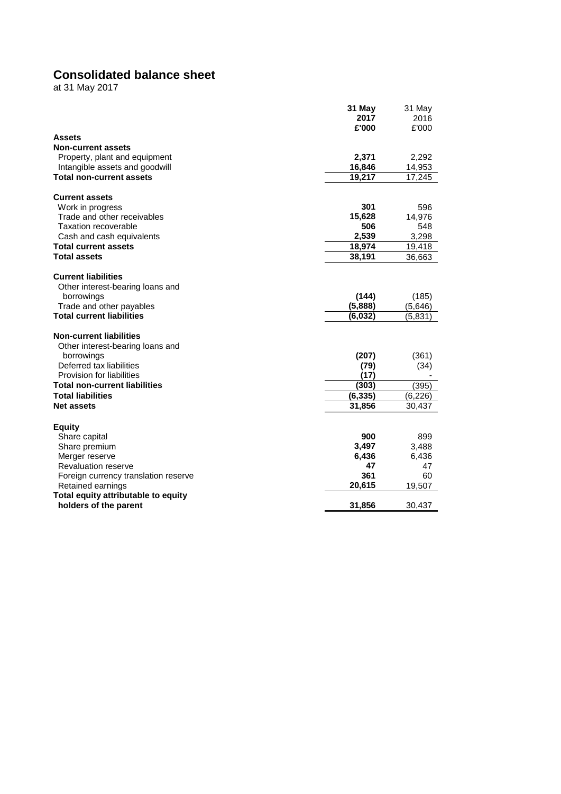# **Consolidated balance sheet**

at 31 May 201 7

|                                                              | 31 May   | 31 May   |
|--------------------------------------------------------------|----------|----------|
|                                                              | 2017     | 2016     |
|                                                              | £'000    | £'000    |
| <b>Assets</b>                                                |          |          |
| <b>Non-current assets</b>                                    |          |          |
| Property, plant and equipment                                | 2,371    | 2,292    |
| Intangible assets and goodwill                               | 16,846   | 14,953   |
| <b>Total non-current assets</b>                              | 19,217   | 17,245   |
|                                                              |          |          |
| <b>Current assets</b>                                        |          |          |
| Work in progress                                             | 301      | 596      |
| Trade and other receivables                                  | 15,628   | 14,976   |
| <b>Taxation recoverable</b>                                  | 506      | 548      |
| Cash and cash equivalents                                    | 2,539    | 3,298    |
| <b>Total current assets</b>                                  | 18,974   | 19,418   |
| <b>Total assets</b>                                          | 38,191   | 36,663   |
|                                                              |          |          |
| <b>Current liabilities</b>                                   |          |          |
| Other interest-bearing loans and                             |          |          |
|                                                              | (144)    |          |
| borrowings                                                   | (5,888)  | (185)    |
| Trade and other payables<br><b>Total current liabilities</b> |          | (5,646)  |
|                                                              | (6,032)  | (5,831)  |
| <b>Non-current liabilities</b>                               |          |          |
|                                                              |          |          |
| Other interest-bearing loans and                             |          |          |
| borrowings                                                   | (207)    | (361)    |
| Deferred tax liabilities                                     | (79)     | (34)     |
| Provision for liabilities                                    | (17)     |          |
| <b>Total non-current liabilities</b>                         | (303)    | (395)    |
| <b>Total liabilities</b>                                     | (6, 335) | (6, 226) |
| <b>Net assets</b>                                            | 31,856   | 30,437   |
|                                                              |          |          |
| <b>Equity</b>                                                |          |          |
| Share capital                                                | 900      | 899      |
| Share premium                                                | 3,497    | 3,488    |
| Merger reserve                                               | 6,436    | 6,436    |
| Revaluation reserve                                          | 47       | 47       |
| Foreign currency translation reserve                         | 361      | 60       |
| Retained earnings                                            | 20,615   | 19,507   |
| Total equity attributable to equity                          |          |          |
| holders of the parent                                        | 31,856   | 30,437   |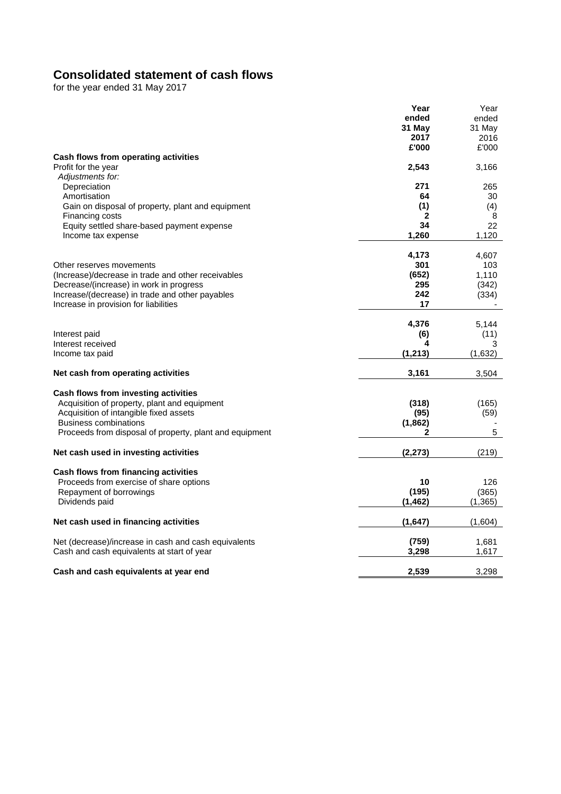## **Consolidated statement of cash flows**

for the year ended 31 May 201 7

|                                                         | Year     | Year     |
|---------------------------------------------------------|----------|----------|
|                                                         | ended    | ended    |
|                                                         | 31 May   | 31 May   |
|                                                         | 2017     | 2016     |
|                                                         | £'000    | £'000    |
| Cash flows from operating activities                    |          |          |
| Profit for the year                                     | 2,543    | 3,166    |
|                                                         |          |          |
| Adjustments for:                                        |          |          |
| Depreciation                                            | 271      | 265      |
| Amortisation                                            | 64       | 30       |
| Gain on disposal of property, plant and equipment       | (1)      | (4)      |
| Financing costs                                         | 2        | 8        |
| Equity settled share-based payment expense              | 34       | 22       |
| Income tax expense                                      | 1,260    | 1,120    |
|                                                         |          |          |
|                                                         | 4,173    | 4,607    |
| Other reserves movements                                | 301      | 103      |
| (Increase)/decrease in trade and other receivables      | (652)    | 1,110    |
| Decrease/(increase) in work in progress                 | 295      | (342)    |
| Increase/(decrease) in trade and other payables         | 242      | (334)    |
| Increase in provision for liabilities                   | 17       |          |
|                                                         |          |          |
|                                                         |          |          |
|                                                         | 4,376    | 5,144    |
| Interest paid                                           | (6)      | (11)     |
| Interest received                                       | 4        | 3        |
| Income tax paid                                         | (1, 213) | (1,632)  |
|                                                         |          |          |
| Net cash from operating activities                      | 3,161    | 3,504    |
|                                                         |          |          |
| Cash flows from investing activities                    |          |          |
| Acquisition of property, plant and equipment            | (318)    | (165)    |
| Acquisition of intangible fixed assets                  | (95)     | (59)     |
| <b>Business combinations</b>                            | (1,862)  |          |
| Proceeds from disposal of property, plant and equipment | 2        | 5        |
|                                                         |          |          |
| Net cash used in investing activities                   | (2, 273) | (219)    |
|                                                         |          |          |
| Cash flows from financing activities                    |          |          |
| Proceeds from exercise of share options                 | 10       | 126      |
| Repayment of borrowings                                 | (195)    | (365)    |
| Dividends paid                                          | (1, 462) | (1, 365) |
|                                                         |          |          |
| Net cash used in financing activities                   | (1,647)  | (1,604)  |
|                                                         |          |          |
| Net (decrease)/increase in cash and cash equivalents    | (759)    | 1,681    |
| Cash and cash equivalents at start of year              | 3,298    | 1,617    |
|                                                         |          |          |
| Cash and cash equivalents at year end                   | 2,539    | 3,298    |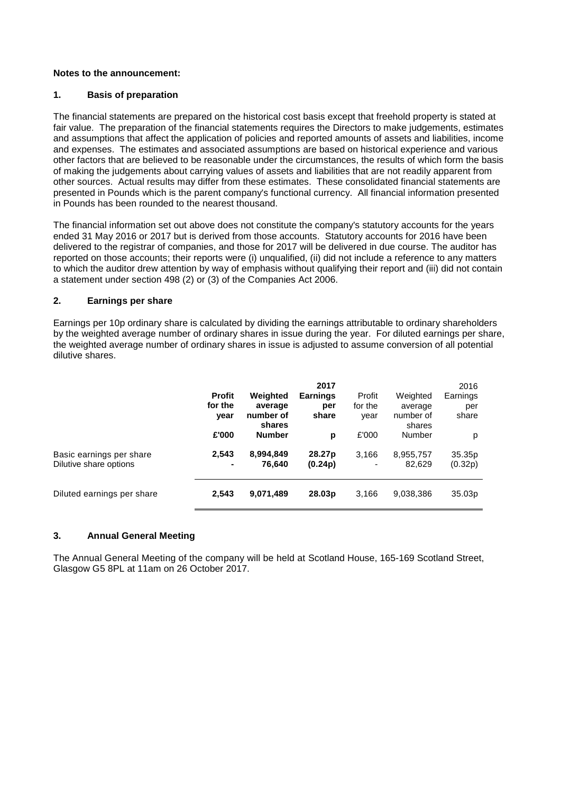#### **Notes to the announcement:**

#### **1. Basis of preparation**

The financial statements are prepared on the historical cost basis except that freehold property is stated at fair value. The preparation of the financial statements requires the Directors to make judgements, estimates and assumptions that affect the application of policies and reported amounts of assets and liabilities, income and expenses. The estimates and associated assumptions are based on historical experience and various other factors that are believed to be reasonable under the circumstances, the results of which form the basis of making the judgements about carrying values of assets and liabilities that are not readily apparent from other sources. Actual results may differ from these estimates. These consolidated financial statements are presented in Pounds which is the parent company's functional currency. All financial information presented in Pounds has been rounded to the nearest thousand.

The financial information set out above does not constitute the company's statutory accounts for the years ended 31 May 2016 or 2017 but is derived from those accounts. Statutory accounts for 2016 have been delivered to the registrar of companies, and those for 2017 will be delivered in due course. The auditor has reported on those accounts; their reports were (i) unqualified, (ii) did not include a reference to any matters to which the auditor drew attention by way of emphasis without qualifying their report and (iii) did not contain a statement under section 498 (2) or (3) of the Companies Act 2006.

#### **2. Earnings per share**

Earnings per 10p ordinary share is calculated by dividing the earnings attributable to ordinary shareholders by the weighted average number of ordinary shares in issue during the year. For diluted earnings per share, the weighted average number of ordinary shares in issue is adjusted to assume conversion of all potential dilutive shares.

|                                                    | <b>Profit</b><br>for the<br>year | Weighted<br>average<br>number of<br>shares | 2017<br><b>Earnings</b><br>per<br>share | Profit<br>for the<br>year         | Weighted<br>average<br>number of<br>shares | 2016<br>Earnings<br>per<br>share |
|----------------------------------------------------|----------------------------------|--------------------------------------------|-----------------------------------------|-----------------------------------|--------------------------------------------|----------------------------------|
|                                                    | £'000                            | <b>Number</b>                              | p                                       | £'000                             | Number                                     | p                                |
| Basic earnings per share<br>Dilutive share options | 2,543<br>$\blacksquare$          | 8,994,849<br>76.640                        | 28.27p<br>(0.24p)                       | 3,166<br>$\overline{\phantom{a}}$ | 8,955,757<br>82.629                        | 35.35p<br>(0.32p)                |
| Diluted earnings per share                         | 2,543                            | 9,071,489                                  | 28.03p                                  | 3,166                             | 9,038,386                                  | 35.03p                           |

## **3. Annual General Meeting**

The Annual General Meeting of the company will be held at Scotland House, 165-169 Scotland Street, Glasgow G5 8PL at 11am on 26 October 2017.